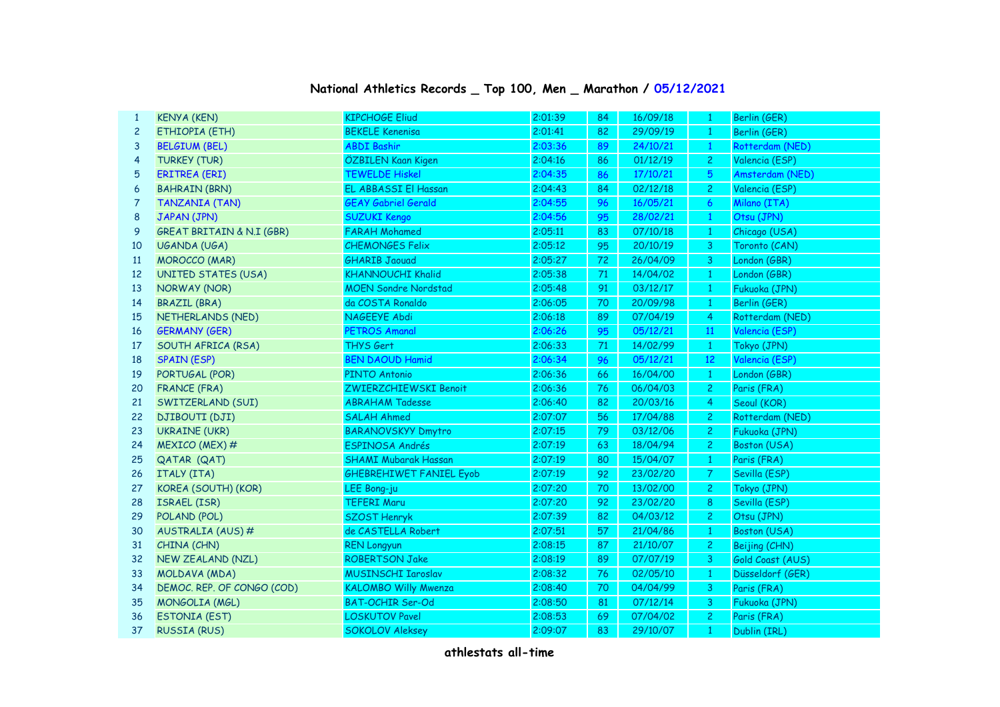| $\mathbf{1}$   | <b>KENYA (KEN)</b>                   | <b>KIPCHOGE Eliud</b>          | 2:01:39 | 84 | 16/09/18 | 1                       | Berlin (GER)     |
|----------------|--------------------------------------|--------------------------------|---------|----|----------|-------------------------|------------------|
| $\overline{c}$ | ETHIOPIA (ETH)                       | <b>BEKELE Kenenisa</b>         | 2:01:41 | 82 | 29/09/19 | $\mathbf{1}$            | Berlin (GER)     |
| 3              | <b>BELGIUM (BEL)</b>                 | <b>ABDI Bashir</b>             | 2:03:36 | 89 | 24/10/21 | $\mathbf{1}$            | Rotterdam (NED)  |
| 4              | <b>TURKEY (TUR)</b>                  | ÖZBILEN Kaan Kigen             | 2:04:16 | 86 | 01/12/19 | $\overline{c}$          | Valencia (ESP)   |
| 5              | <b>ERITREA (ERI)</b>                 | <b>TEWELDE Hiskel</b>          | 2:04:35 | 86 | 17/10/21 | $\overline{5}$          | Amsterdam (NED)  |
| 6              | <b>BAHRAIN (BRN)</b>                 | EL ABBASSI El Hassan           | 2:04:43 | 84 | 02/12/18 | $\mathbf{2}$            | Valencia (ESP)   |
| $\overline{7}$ | <b>TANZANIA (TAN)</b>                | <b>GEAY Gabriel Gerald</b>     | 2:04:55 | 96 | 16/05/21 | $\epsilon$              | Milano (ITA)     |
| 8              | JAPAN (JPN)                          | <b>SUZUKI Kengo</b>            | 2:04:56 | 95 | 28/02/21 | $\mathbf{1}$            | Otsu (JPN)       |
| 9              | <b>GREAT BRITAIN &amp; N.I (GBR)</b> | <b>FARAH Mohamed</b>           | 2:05:11 | 83 | 07/10/18 | $\mathbf{1}$            | Chicago (USA)    |
| 10             | UGANDA (UGA)                         | <b>CHEMONGES Felix</b>         | 2:05:12 | 95 | 20/10/19 | $\overline{\mathbf{3}}$ | Toronto (CAN)    |
| <b>11</b>      | <b>MOROCCO</b> (MAR)                 | <b>GHARIB Jaouad</b>           | 2:05:27 | 72 | 26/04/09 | $\overline{\mathbf{3}}$ | London (GBR)     |
| 12             | <b>UNITED STATES (USA)</b>           | <b>KHANNOUCHI Khalid</b>       | 2:05:38 | 71 | 14/04/02 | $\mathbf{1}$            | London (GBR)     |
| 13             | NORWAY (NOR)                         | <b>MOEN Sondre Nordstad</b>    | 2:05:48 | 91 | 03/12/17 | $\mathbf{1}$            | Fukuoka (JPN)    |
| 14             | <b>BRAZIL (BRA)</b>                  | da COSTA Ronaldo               | 2:06:05 | 70 | 20/09/98 | $\mathbf{1}$            | Berlin (GER)     |
| 15             | NETHERLANDS (NED)                    | NAGEEYE Abdi                   | 2:06:18 | 89 | 07/04/19 | $\overline{4}$          | Rotterdam (NED)  |
| 16             | <b>GERMANY (GER)</b>                 | <b>PETROS Amanal</b>           | 2:06:26 | 95 | 05/12/21 | 11                      | Valencia (ESP)   |
| 17             | SOUTH AFRICA (RSA)                   | THYS Gert                      | 2:06:33 | 71 | 14/02/99 | $\mathbf{1}$            | Tokyo (JPN)      |
| 18             | <b>SPAIN (ESP)</b>                   | <b>BEN DAOUD Hamid</b>         | 2:06:34 | 96 | 05/12/21 | 12                      | Valencia (ESP)   |
| 19             | PORTUGAL (POR)                       | PINTO Antonio                  | 2:06:36 | 66 | 16/04/00 | $\mathbf{1}$            | London (GBR)     |
| 20             | <b>FRANCE (FRA)</b>                  | ZWIERZCHIEWSKI Benoit          | 2:06:36 | 76 | 06/04/03 | $\overline{c}$          | Paris (FRA)      |
| 21             | SWITZERLAND (SUI)                    | <b>ABRAHAM Tadesse</b>         | 2:06:40 | 82 | 20/03/16 | $\overline{4}$          | Seoul (KOR)      |
| 22             | <b>DJIBOUTI (DJI)</b>                | <b>SALAH Ahmed</b>             | 2:07:07 | 56 | 17/04/88 | $\overline{2}$          | Rotterdam (NED)  |
| 23             | <b>UKRAINE (UKR)</b>                 | <b>BARANOVSKYY Dmytro</b>      | 2:07:15 | 79 | 03/12/06 | $\overline{2}$          | Fukuoka (JPN)    |
| 24             | MEXICO (MEX) #                       | ESPINOSA Andrés                | 2:07:19 | 63 | 18/04/94 | $\overline{2}$          | Boston (USA)     |
| 25             | QATAR (QAT)                          | <b>SHAMI Mubarak Hassan</b>    | 2:07:19 | 80 | 15/04/07 | $\mathbf{1}$            | Paris (FRA)      |
| 26             | ITALY (ITA)                          | <b>GHEBREHIWET FANIEL Eyob</b> | 2:07:19 | 92 | 23/02/20 | $\mathcal{T}$           | Sevilla (ESP)    |
| 27             | KOREA (SOUTH) (KOR)                  | LEE Bong-ju                    | 2:07:20 | 70 | 13/02/00 | $\mathbf{2}$            | Tokyo (JPN)      |
| 28             | ISRAEL (ISR)                         | <b>TEFERI Maru</b>             | 2:07:20 | 92 | 23/02/20 | $\bf 8$                 | Sevilla (ESP)    |
| 29             | POLAND (POL)                         | <b>SZOST Henryk</b>            | 2:07:39 | 82 | 04/03/12 | $\overline{2}$          | Otsu (JPN)       |
| 30             | AUSTRALIA (AUS) #                    | de CASTELLA Robert             | 2:07:51 | 57 | 21/04/86 | $\mathbf{1}$            | Boston (USA)     |
| 31             | CHINA (CHN)                          | <b>REN Longyun</b>             | 2:08:15 | 87 | 21/10/07 | $\overline{c}$          | Beijing (CHN)    |
| 32             | <b>NEW ZEALAND (NZL)</b>             | <b>ROBERTSON Jake</b>          | 2:08:19 | 89 | 07/07/19 | 3                       | Gold Coast (AUS) |
| 33             | MOLDAVA (MDA)                        | <b>MUSINSCHI Iaroslav</b>      | 2:08:32 | 76 | 02/05/10 | $\mathbf{1}$            | Düsseldorf (GER) |
| 34             | DEMOC. REP. OF CONGO (COD)           | <b>KALOMBO Willy Mwenza</b>    | 2:08:40 | 70 | 04/04/99 | $\mathsf 3$             | Paris (FRA)      |
| 35             | MONGOLIA (MGL)                       | <b>BAT-OCHIR Ser-Od</b>        | 2:08:50 | 81 | 07/12/14 | 3                       | Fukuoka (JPN)    |
| 36             | <b>ESTONIA (EST)</b>                 | <b>LOSKUTOV Pavel</b>          | 2:08:53 | 69 | 07/04/02 | $\mathbf{2}$            | Paris (FRA)      |
| 37             | <b>RUSSIA (RUS)</b>                  | <b>SOKOLOV Aleksey</b>         | 2:09:07 | 83 | 29/10/07 | 1                       | Dublin (IRL)     |

## **National Athletics Records \_ Top 100, Men \_ Marathon / 05/12/2021**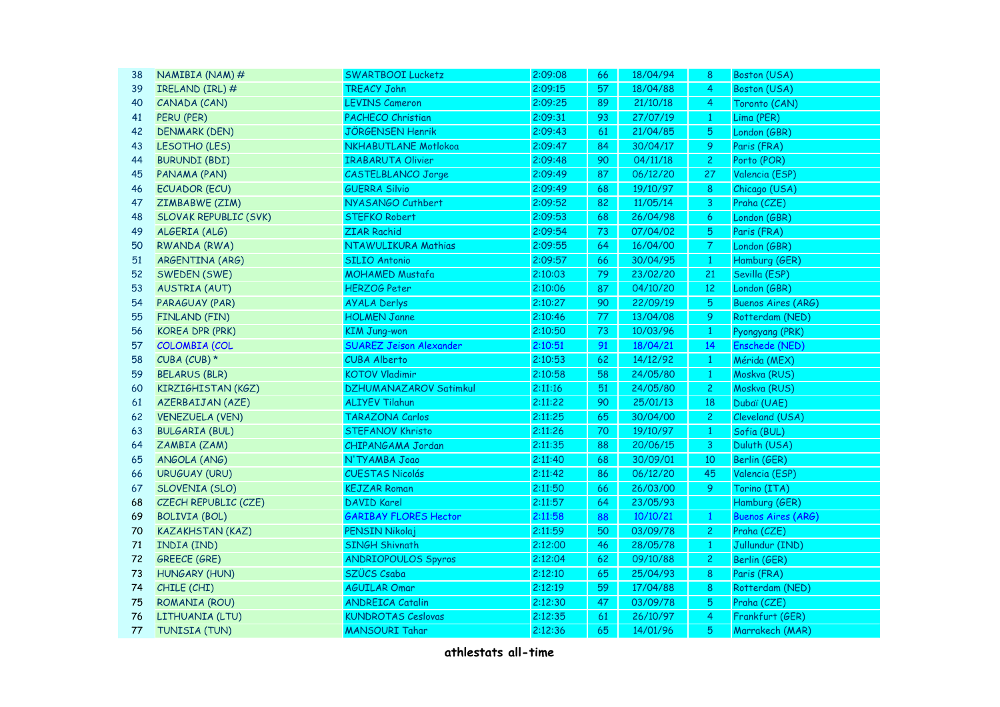| 38 | NAMIBIA (NAM) $#$            | <b>SWARTBOOI Lucketz</b>       | 2:09:08 | 66 | 18/04/94 | 8                 | Boston (USA)              |
|----|------------------------------|--------------------------------|---------|----|----------|-------------------|---------------------------|
| 39 | IRELAND (IRL) #              | <b>TREACY John</b>             | 2:09:15 | 57 | 18/04/88 | 4                 | Boston (USA)              |
| 40 | CANADA (CAN)                 | <b>LEVINS Cameron</b>          | 2:09:25 | 89 | 21/10/18 | 4                 | Toronto (CAN)             |
| 41 | PERU (PER)                   | <b>PACHECO Christian</b>       | 2:09:31 | 93 | 27/07/19 | $\mathbf{1}$      | Lima (PER)                |
| 42 | <b>DENMARK (DEN)</b>         | <b>JÖRGENSEN Henrik</b>        | 2:09:43 | 61 | 21/04/85 | 5                 | London (GBR)              |
| 43 | LESOTHO (LES)                | NKHABUTLANE Motlokoa           | 2:09:47 | 84 | 30/04/17 | 9                 | Paris (FRA)               |
| 44 | <b>BURUNDI (BDI)</b>         | <b>IRABARUTA Olivier</b>       | 2:09:48 | 90 | 04/11/18 | $\mathbf{2}$      | Porto (POR)               |
| 45 | PANAMA (PAN)                 | <b>CASTELBLANCO Jorge</b>      | 2:09:49 | 87 | 06/12/20 | 27                | Valencia (ESP)            |
| 46 | <b>ECUADOR (ECU)</b>         | <b>GUERRA Silvio</b>           | 2:09:49 | 68 | 19/10/97 | 8                 | Chicago (USA)             |
| 47 | ZIMBABWE (ZIM)               | NYASANGO Cuthbert              | 2:09:52 | 82 | 11/05/14 | 3                 | Praha (CZE)               |
| 48 | <b>SLOVAK REPUBLIC (SVK)</b> | <b>STEFKO Robert</b>           | 2:09:53 | 68 | 26/04/98 | $\boldsymbol{6}$  | London (GBR)              |
| 49 | ALGERIA (ALG)                | <b>ZIAR Rachid</b>             | 2:09:54 | 73 | 07/04/02 | 5                 | Paris (FRA)               |
| 50 | <b>RWANDA (RWA)</b>          | NTAWULIKURA Mathias            | 2:09:55 | 64 | 16/04/00 | $\overline{7}$    | London (GBR)              |
| 51 | ARGENTINA (ARG)              | <b>SILIO Antonio</b>           | 2:09:57 | 66 | 30/04/95 | $\mathbf{1}$      | Hamburg (GER)             |
| 52 | SWEDEN (SWE)                 | <b>MOHAMED Mustafa</b>         | 2:10:03 | 79 | 23/02/20 | 21                | Sevilla (ESP)             |
| 53 | <b>AUSTRIA (AUT)</b>         | <b>HERZOG Peter</b>            | 2:10:06 | 87 | 04/10/20 | $12 \overline{ }$ | London (GBR)              |
| 54 | PARAGUAY (PAR)               | <b>AYALA Derlys</b>            | 2:10:27 | 90 | 22/09/19 | 5                 | <b>Buenos Aires (ARG)</b> |
| 55 | <b>FINLAND (FIN)</b>         | <b>HOLMEN Janne</b>            | 2:10:46 | 77 | 13/04/08 | 9                 | Rotterdam (NED)           |
| 56 | <b>KOREA DPR (PRK)</b>       | <b>KIM Jung-won</b>            | 2:10:50 | 73 | 10/03/96 | $\mathbf{1}$      | Pyongyang (PRK)           |
| 57 | <b>COLOMBIA (COL</b>         | <b>SUAREZ Jeison Alexander</b> | 2:10:51 | 91 | 18/04/21 | 14                | Enschede (NED)            |
| 58 | CUBA (CUB) $*$               | <b>CUBA Alberto</b>            | 2:10:53 | 62 | 14/12/92 | $1\,$             | Mérida (MEX)              |
| 59 | <b>BELARUS (BLR)</b>         | <b>KOTOV Vladimir</b>          | 2:10:58 | 58 | 24/05/80 | $\mathbf{1}$      | Moskva (RUS)              |
| 60 | KIRZIGHISTAN (KGZ)           | <b>DZHUMANAZAROV Satimkul</b>  | 2:11:16 | 51 | 24/05/80 | $\mathbf{2}$      | Moskva (RUS)              |
| 61 | AZERBAIJAN (AZE)             | <b>ALIYEV Tilahun</b>          | 2:11:22 | 90 | 25/01/13 | 18                | Dubaï (UAE)               |
| 62 | <b>VENEZUELA (VEN)</b>       | TARAZONA Carlos                | 2:11:25 | 65 | 30/04/00 | $\overline{2}$    | Cleveland (USA)           |
| 63 | <b>BULGARIA (BUL)</b>        | <b>STEFANOV Khristo</b>        | 2:11:26 | 70 | 19/10/97 | $\mathbf{1}$      | Sofia (BUL)               |
| 64 | ZAMBIA (ZAM)                 | CHIPANGAMA Jordan              | 2:11:35 | 88 | 20/06/15 | 3                 | Duluth (USA)              |
| 65 | ANGOLA (ANG)                 | N'TYAMBA Joao                  | 2:11:40 | 68 | 30/09/01 | 10                | Berlin (GER)              |
| 66 | <b>URUGUAY (URU)</b>         | <b>CUESTAS Nicolás</b>         | 2:11:42 | 86 | 06/12/20 | 45                | Valencia (ESP)            |
| 67 | <b>SLOVENIA (SLO)</b>        | <b>KEJZAR Roman</b>            | 2:11:50 | 66 | 26/03/00 | 9                 | Torino (ITA)              |
| 68 | CZECH REPUBLIC (CZE)         | <b>DAVID Karel</b>             | 2:11:57 | 64 | 23/05/93 |                   | Hamburg (GER)             |
| 69 | <b>BOLIVIA (BOL)</b>         | <b>GARIBAY FLORES Hector</b>   | 2:11:58 | 88 | 10/10/21 | $\mathbf{1}$      | <b>Buenos Aires (ARG)</b> |
| 70 | <b>KAZAKHSTAN (KAZ)</b>      | PENSIN Nikolaj                 | 2:11:59 | 50 | 03/09/78 | $\overline{c}$    | Praha (CZE)               |
| 71 | INDIA (IND)                  | <b>SINGH Shivnath</b>          | 2:12:00 | 46 | 28/05/78 | $\mathbf{1}$      | Jullundur (IND)           |
| 72 | <b>GREECE (GRE)</b>          | <b>ANDRIOPOULOS Spyros</b>     | 2:12:04 | 62 | 09/10/88 | $\mathbf{2}$      | Berlin (GER)              |
| 73 | <b>HUNGARY (HUN)</b>         | SZÜCS Csaba                    | 2:12:10 | 65 | 25/04/93 | 8                 | Paris (FRA)               |
| 74 | CHILE (CHI)                  | <b>AGUILAR Omar</b>            | 2:12:19 | 59 | 17/04/88 | 8                 | Rotterdam (NED)           |
| 75 | <b>ROMANIA (ROU)</b>         | <b>ANDREICA Catalin</b>        | 2:12:30 | 47 | 03/09/78 | 5                 | Praha (CZE)               |
| 76 | LITHUANIA (LTU)              | <b>KUNDROTAS Ceslovas</b>      | 2:12:35 | 61 | 26/10/97 | 4                 | Frankfurt (GER)           |
| 77 | TUNISIA (TUN)                | <b>MANSOURI Tahar</b>          | 2:12:36 | 65 | 14/01/96 | 5                 | Marrakech (MAR)           |